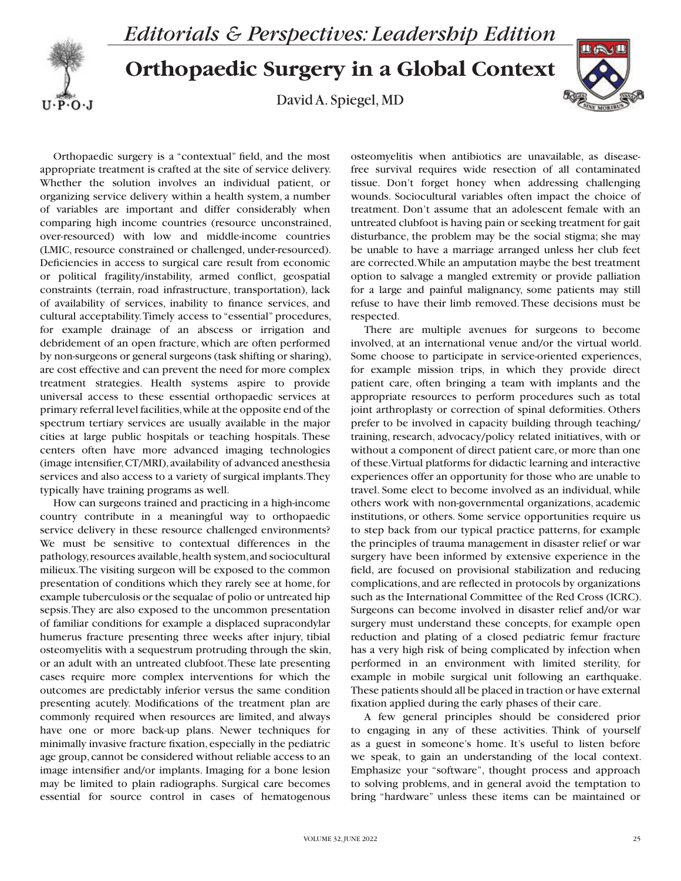

## **Orthopaedic Surgery in a Global Context**

David A. Spiegel, MD



Orthopaedic surgery is a "contextual" field, and the most appropriate treatment is crafted at the site of service delivery. Whether the solution involves an individual patient, or organizing service delivery within a health system, a number of variables are important and differ considerably when comparing high income countries (resource unconstrained, over-resourced) with low and middle-income countries (LMIC, resource constrained or challenged, under-resourced). Deficiencies in access to surgical care result from economic or political fragility/instability, armed conflict, geospatial constraints (terrain, road infrastructure, transportation), lack of availability of services, inability to finance services, and cultural acceptability. Timely access to "essential" procedures, for example drainage of an abscess or irrigation and debridement of an open fracture, which are often performed by non-surgeons or general surgeons (task shifting or sharing), are cost effective and can prevent the need for more complex treatment strategies. Health systems aspire to provide universal access to these essential orthopaedic services at primary referral level facilities, while at the opposite end of the spectrum tertiary services are usually available in the major cities at large public hospitals or teaching hospitals. These centers often have more advanced imaging technologies (image intensifier, CT/MRI), availability of advanced anesthesia services and also access to a variety of surgical implants. They typically have training programs as well.

How can surgeons trained and practicing in a high-income country contribute in a meaningful way to orthopaedic service delivery in these resource challenged environments? We must be sensitive to contextual differences in the pathology, resources available, health system, and sociocultural milieux. The visiting surgeon will be exposed to the common presentation of conditions which they rarely see at home, for example tuberculosis or the sequalae of polio or untreated hip sepsis. They are also exposed to the uncommon presentation of familiar conditions for example a displaced supracondylar humerus fracture presenting three weeks after injury, tibial osteomyelitis with a sequestrum protruding through the skin, or an adult with an untreated clubfoot. These late presenting cases require more complex interventions for which the outcomes are predictably inferior versus the same condition presenting acutely. Modifications of the treatment plan are commonly required when resources are limited, and always have one or more back-up plans. Newer techniques for minimally invasive fracture fixation, especially in the pediatric age group, cannot be considered without reliable access to an image intensifier and/or implants. Imaging for a bone lesion may be limited to plain radiographs. Surgical care becomes essential for source control in cases of hematogenous

osteomyelitis when antibiotics are unavailable, as diseasefree survival requires wide resection of all contaminated tissue. Don't forget honey when addressing challenging wounds. Sociocultural variables often impact the choice of treatment. Don't assume that an adolescent female with an untreated clubfoot is having pain or seeking treatment for gait disturbance, the problem may be the social stigma; she may be unable to have a marriage arranged unless her club feet are corrected. While an amputation maybe the best treatment option to salvage a mangled extremity or provide palliation for a large and painful malignancy, some patients may still refuse to have their limb removed. These decisions must be respected.

There are multiple avenues for surgeons to become involved, at an international venue and/or the virtual world. Some choose to participate in service-oriented experiences, for example mission trips, in which they provide direct patient care, often bringing a team with implants and the appropriate resources to perform procedures such as total joint arthroplasty or correction of spinal deformities. Others prefer to be involved in capacity building through teaching/ training, research, advocacy/policy related initiatives, with or without a component of direct patient care, or more than one of these. Virtual platforms for didactic learning and interactive experiences offer an opportunity for those who are unable to travel. Some elect to become involved as an individual, while others work with non-governmental organizations, academic institutions, or others. Some service opportunities require us to step back from our typical practice patterns, for example the principles of trauma management in disaster relief or war surgery have been informed by extensive experience in the field, are focused on provisional stabilization and reducing complications, and are reflected in protocols by organizations such as the International Committee of the Red Cross (ICRC). Surgeons can become involved in disaster relief and/or war surgery must understand these concepts, for example open reduction and plating of a closed pediatric femur fracture has a very high risk of being complicated by infection when performed in an environment with limited sterility, for example in mobile surgical unit following an earthquake. These patients should all be placed in traction or have external fixation applied during the early phases of their care.

A few general principles should be considered prior to engaging in any of these activities. Think of yourself as a guest in someone's home. It's useful to listen before we speak, to gain an understanding of the local context. Emphasize your "software", thought process and approach to solving problems, and in general avoid the temptation to bring "hardware" unless these items can be maintained or